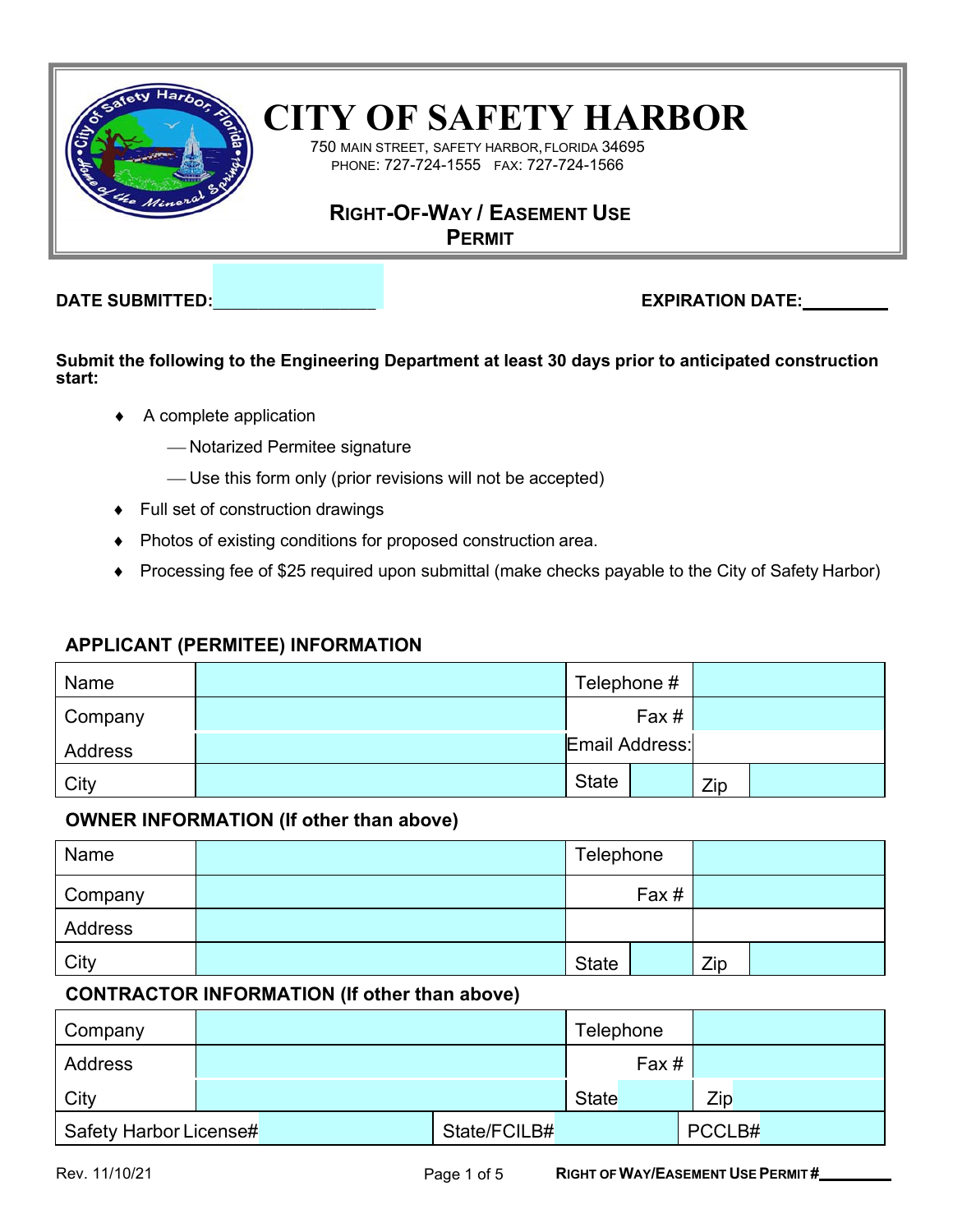

# **CITY OF SAFETY HARBOR**

750 MAIN STREET, SAFETY HARBOR,FLORIDA 34695 PHONE: 727-724-1555 FAX: 727-724-1566

## **RIGHT-OF-WAY / EASEMENT USE**

**PERMIT**

**DATE SUBMITTED:\_\_\_\_\_\_\_\_\_\_\_\_\_\_\_\_\_\_ EXPIRATION DATE:**

**Submit the following to the Engineering Department at least 30 days prior to anticipated construction start:**

- ♦ A complete application
	- Notarized Permitee signature
	- Use this form only (prior revisions will not be accepted)
- ♦ Full set of construction drawings
- ♦ Photos of existing conditions for proposed construction area.
- ♦ Processing fee of \$25 required upon submittal (make checks payable to the City of Safety Harbor)

### **APPLICANT (PERMITEE) INFORMATION**

| Name    | Telephone #    |     |  |
|---------|----------------|-----|--|
| Company | Fax#           |     |  |
| Address | Email Address: |     |  |
| City    | <b>State</b>   | Zip |  |

### **OWNER INFORMATION (If other than above)**

| Name    | Telephone    |     |  |
|---------|--------------|-----|--|
| Company | Fax#         |     |  |
| Address |              |     |  |
| City    | <b>State</b> | Zip |  |

### **CONTRACTOR INFORMATION (If other than above)**

| Company                |              | Telephone |        |
|------------------------|--------------|-----------|--------|
| Address                |              | Fax #     |        |
| City                   |              | State     | Zip    |
| Safety Harbor License# | State/FCILB# |           | PCCLB# |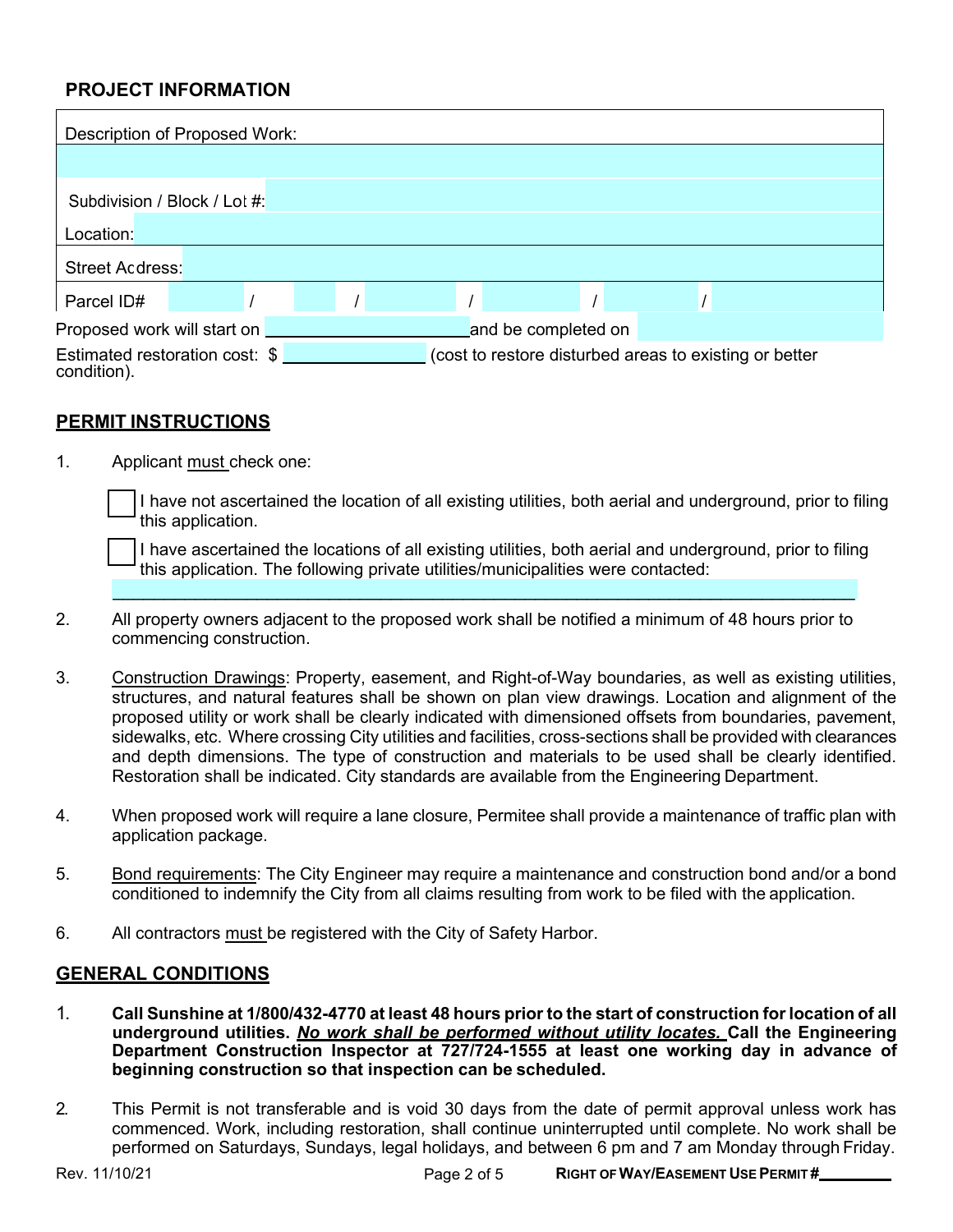### **PROJECT INFORMATION**

| Description of Proposed Work:                 |  |  |                                                        |  |
|-----------------------------------------------|--|--|--------------------------------------------------------|--|
|                                               |  |  |                                                        |  |
| Subdivision / Block / Lot #:                  |  |  |                                                        |  |
| Location:                                     |  |  |                                                        |  |
| Street Address:                               |  |  |                                                        |  |
| Parcel ID#                                    |  |  |                                                        |  |
| Proposed work will start on _                 |  |  | and be completed on                                    |  |
| Estimated restoration cost: \$<br>condition). |  |  | (cost to restore disturbed areas to existing or better |  |

#### **PERMIT INSTRUCTIONS**

1. Applicant must check one:

I have not ascertained the location of all existing utilities, both aerial and underground, prior to filing this application.

I have ascertained the locations of all existing utilities, both aerial and underground, prior to filing this application. The following private utilities/municipalities were contacted:

\_\_\_\_\_\_\_\_\_\_\_\_\_\_\_\_\_\_\_\_\_\_\_\_\_\_\_\_\_\_\_\_\_\_\_\_\_\_\_\_\_\_\_\_\_\_\_\_\_\_\_\_\_\_\_\_\_\_\_\_\_\_\_\_\_\_\_\_\_\_\_\_

- 2. All property owners adjacent to the proposed work shall be notified a minimum of 48 hours prior to commencing construction.
- 3. Construction Drawings: Property, easement, and Right-of-Way boundaries, as well as existing utilities, structures, and natural features shall be shown on plan view drawings. Location and alignment of the proposed utility or work shall be clearly indicated with dimensioned offsets from boundaries, pavement, sidewalks, etc. Where crossing City utilities and facilities, cross-sections shall be provided with clearances and depth dimensions. The type of construction and materials to be used shall be clearly identified. Restoration shall be indicated. City standards are available from the Engineering Department.
- 4. When proposed work will require a lane closure, Permitee shall provide a maintenance of traffic plan with application package.
- 5. Bond requirements: The City Engineer may require a maintenance and construction bond and/or a bond conditioned to indemnify the City from all claims resulting from work to be filed with the application.
- 6. All contractors must be registered with the City of Safety Harbor.

#### **GENERAL CONDITIONS**

- 1. Call Sunshine at 1/800/432-4770 at least 48 hours prior to the start of construction for location of all **underground utilities.** *No work shall be performed without utility locates.* **Call the Engineering Department Construction Inspector at 727/724-1555 at least one working day in advance of beginning construction so that inspection can be scheduled.**
- 2. This Permit is not transferable and is void 30 days from the date of permit approval unless work has commenced. Work, including restoration, shall continue uninterrupted until complete. No work shall be performed on Saturdays, Sundays, legal holidays, and between 6 pm and 7 am Monday through Friday.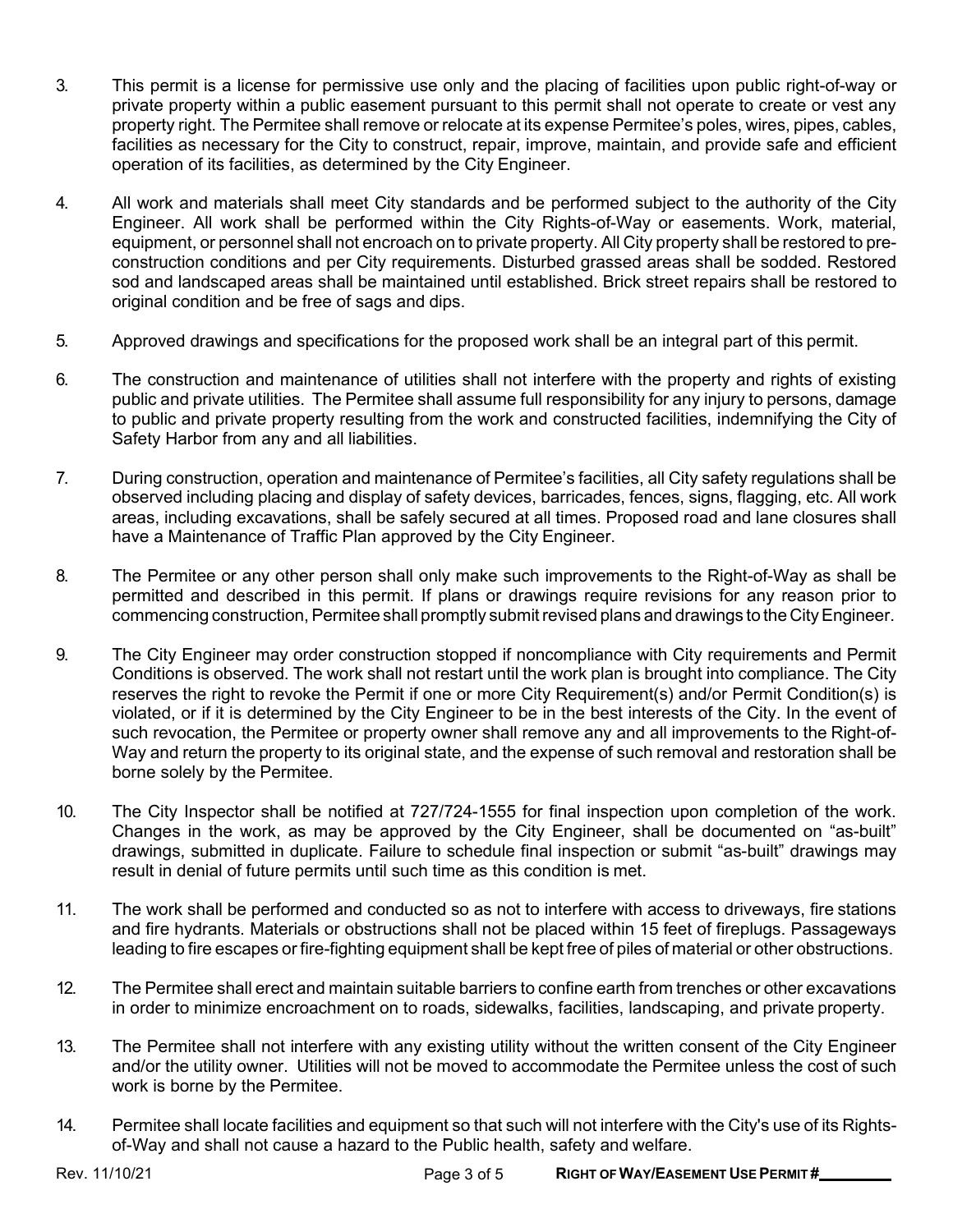- 3. This permit is a license for permissive use only and the placing of facilities upon public right-of-way or private property within a public easement pursuant to this permit shall not operate to create or vest any property right. The Permitee shall remove or relocate at its expense Permitee's poles, wires, pipes, cables, facilities as necessary for the City to construct, repair, improve, maintain, and provide safe and efficient operation of its facilities, as determined by the City Engineer.
- 4. All work and materials shall meet City standards and be performed subject to the authority of the City Engineer. All work shall be performed within the City Rights-of-Way or easements. Work, material, equipment, or personnel shall not encroach on to private property. All City property shall be restored to preconstruction conditions and per City requirements. Disturbed grassed areas shall be sodded. Restored sod and landscaped areas shall be maintained until established. Brick street repairs shall be restored to original condition and be free of sags and dips.
- 5. Approved drawings and specifications for the proposed work shall be an integral part of this permit.
- 6. The construction and maintenance of utilities shall not interfere with the property and rights of existing public and private utilities. The Permitee shall assume full responsibility for any injury to persons, damage to public and private property resulting from the work and constructed facilities, indemnifying the City of Safety Harbor from any and all liabilities.
- 7. During construction, operation and maintenance of Permitee's facilities, all City safety regulations shall be observed including placing and display of safety devices, barricades, fences, signs, flagging, etc. All work areas, including excavations, shall be safely secured at all times. Proposed road and lane closures shall have a Maintenance of Traffic Plan approved by the City Engineer.
- 8. The Permitee or any other person shall only make such improvements to the Right-of-Way as shall be permitted and described in this permit. If plans or drawings require revisions for any reason prior to commencing construction, Permitee shall promptly submit revised plans and drawings to the City Engineer.
- 9. The City Engineer may order construction stopped if noncompliance with City requirements and Permit Conditions is observed. The work shall not restart until the work plan is brought into compliance. The City reserves the right to revoke the Permit if one or more City Requirement(s) and/or Permit Condition(s) is violated, or if it is determined by the City Engineer to be in the best interests of the City. In the event of such revocation, the Permitee or property owner shall remove any and all improvements to the Right-of-Way and return the property to its original state, and the expense of such removal and restoration shall be borne solely by the Permitee.
- 10. The City Inspector shall be notified at 727/724-1555 for final inspection upon completion of the work. Changes in the work, as may be approved by the City Engineer, shall be documented on "as-built" drawings, submitted in duplicate. Failure to schedule final inspection or submit "as-built" drawings may result in denial of future permits until such time as this condition is met.
- 11. The work shall be performed and conducted so as not to interfere with access to driveways, fire stations and fire hydrants. Materials or obstructions shall not be placed within 15 feet of fireplugs. Passageways leading to fire escapes or fire-fighting equipment shall be kept free of piles of material or other obstructions.
- 12. The Permitee shall erect and maintain suitable barriers to confine earth from trenches or other excavations in order to minimize encroachment on to roads, sidewalks, facilities, landscaping, and private property.
- 13. The Permitee shall not interfere with any existing utility without the written consent of the City Engineer and/or the utility owner. Utilities will not be moved to accommodate the Permitee unless the cost of such work is borne by the Permitee.
- 14. Permitee shall locate facilities and equipment so that such will not interfere with the City's use of its Rightsof-Way and shall not cause a hazard to the Public health, safety and welfare.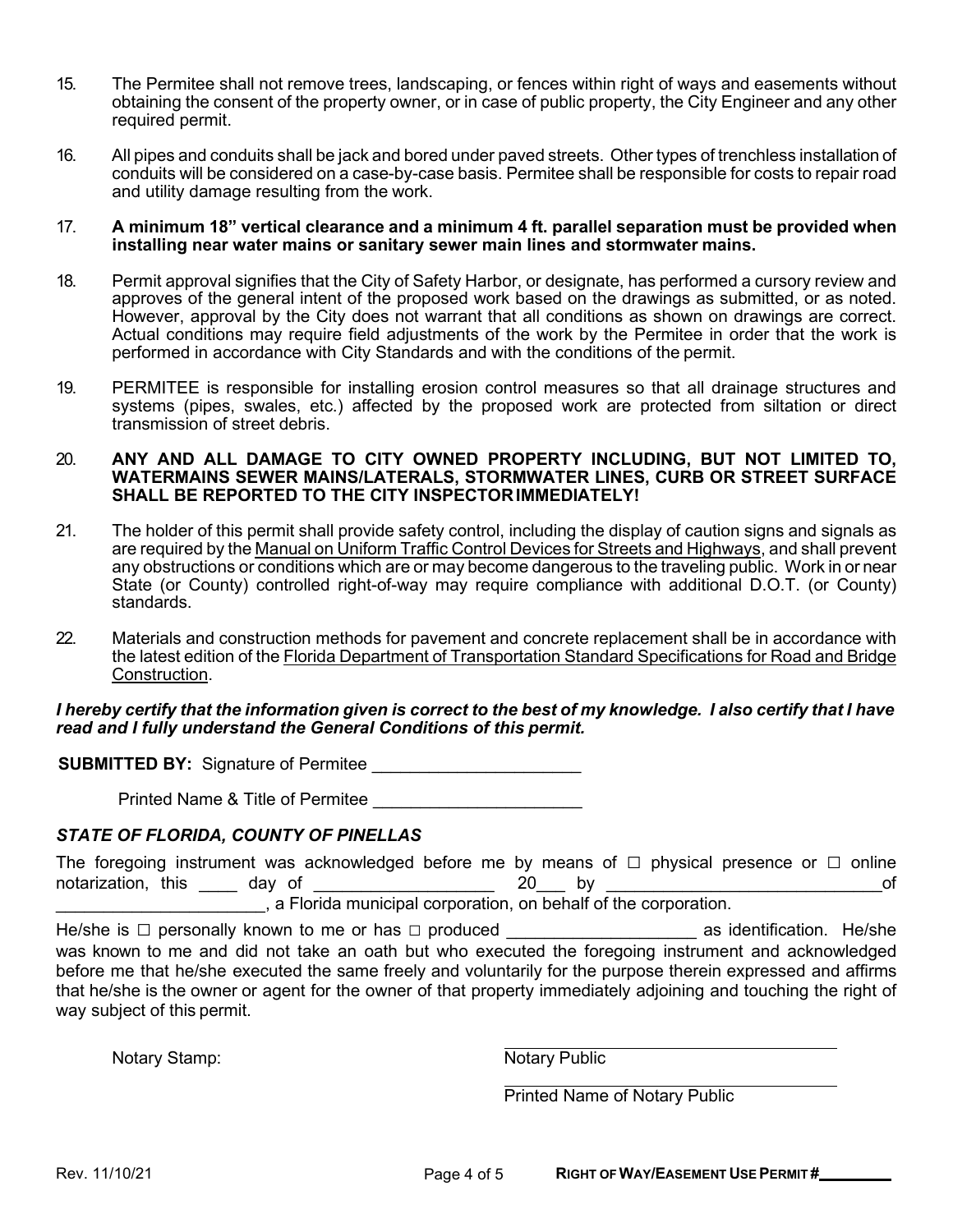- 15. The Permitee shall not remove trees, landscaping, or fences within right of ways and easements without obtaining the consent of the property owner, or in case of public property, the City Engineer and any other required permit.
- 16. All pipes and conduits shall be jack and bored under paved streets. Other types of trenchless installation of conduits will be considered on a case-by-case basis. Permitee shall be responsible for costs to repair road and utility damage resulting from the work.

#### 17. **A minimum 18" vertical clearance and a minimum 4 ft. parallel separation must be provided when installing near water mains or sanitary sewer main lines and stormwater mains.**

- 18. Permit approval signifies that the City of Safety Harbor, or designate, has performed a cursory review and approves of the general intent of the proposed work based on the drawings as submitted, or as noted. However, approval by the City does not warrant that all conditions as shown on drawings are correct. Actual conditions may require field adjustments of the work by the Permitee in order that the work is performed in accordance with City Standards and with the conditions of the permit.
- 19. PERMITEE is responsible for installing erosion control measures so that all drainage structures and systems (pipes, swales, etc.) affected by the proposed work are protected from siltation or direct transmission of street debris.

#### 20. **ANY AND ALL DAMAGE TO CITY OWNED PROPERTY INCLUDING, BUT NOT LIMITED TO, WATERMAINS SEWER MAINS/LATERALS, STORMWATER LINES, CURB OR STREET SURFACE SHALL BE REPORTED TO THE CITY INSPECTORIMMEDIATELY!**

- 21. The holder of this permit shall provide safety control, including the display of caution signs and signals as are required by the Manual on Uniform Traffic Control Devices for Streets and Highways, and shall prevent any obstructions or conditions which are or may become dangerous to the traveling public. Work in or near State (or County) controlled right-of-way may require compliance with additional D.O.T. (or County) standards.
- 22. Materials and construction methods for pavement and concrete replacement shall be in accordance with the latest edition of the Florida Department of Transportation Standard Specifications for Road and Bridge Construction.

#### I hereby certify that the information given is correct to the best of my knowledge. I also certify that I have *read and I fully understand the General Conditions of this permit.*

**SUBMITTED BY:** Signature of Permitee \_\_\_\_\_\_\_\_\_\_\_\_\_\_\_\_\_\_\_\_\_\_

Printed Name & Title of Permitee \_\_\_\_\_\_\_\_\_\_\_\_\_\_\_\_\_\_\_\_\_\_

#### *STATE OF FLORIDA, COUNTY OF PINELLAS*

|                    |        | The foregoing instrument was acknowledged before me by means of $\Box$ physical presence or $\Box$ online |  |  |  |  |    |
|--------------------|--------|-----------------------------------------------------------------------------------------------------------|--|--|--|--|----|
| notarization, this | dav of |                                                                                                           |  |  |  |  | οf |
|                    |        | , a Florida municipal corporation, on behalf of the corporation.                                          |  |  |  |  |    |

He/she is □ personally known to me or has □ produced example as identification. He/she was known to me and did not take an oath but who executed the foregoing instrument and acknowledged before me that he/she executed the same freely and voluntarily for the purpose therein expressed and affirms that he/she is the owner or agent for the owner of that property immediately adjoining and touching the right of way subject of this permit.

Notary Stamp: Notary Public

Printed Name of Notary Public